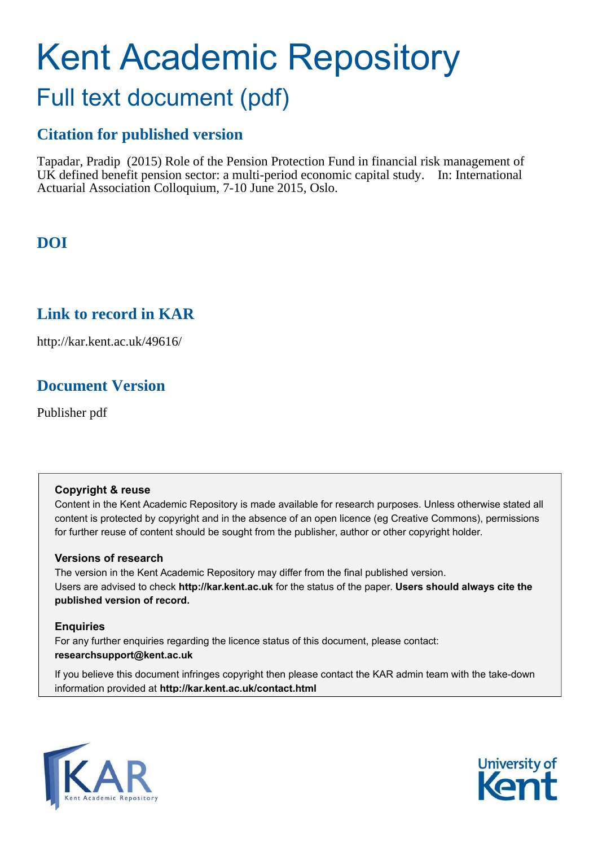# Kent Academic Repository Full text document (pdf)

# **Citation for published version**

Tapadar, Pradip (2015) Role of the Pension Protection Fund in financial risk management of UK defined benefit pension sector: a multi-period economic capital study. In: International Actuarial Association Colloquium, 7-10 June 2015, Oslo.

# **DOI**

# <span id="page-0-0"></span>**Link to record in KAR**

http://kar.kent.ac.uk/49616/

# **Document Version**

Publisher pdf

#### **Copyright & reuse**

Content in the Kent Academic Repository is made available for research purposes. Unless otherwise stated all content is protected by copyright and in the absence of an open licence (eg Creative Commons), permissions for further reuse of content should be sought from the publisher, author or other copyright holder.

#### **Versions of research**

The version in the Kent Academic Repository may differ from the final published version. Users are advised to check **http://kar.kent.ac.uk** for the status of the paper. **Users should always cite the published version of record.**

#### **Enquiries**

For any further enquiries regarding the licence status of this document, please contact: **researchsupport@kent.ac.uk**

If you believe this document infringes copyright then please contact the KAR admin team with the take-down information provided at **http://kar.kent.ac.uk/contact.html**



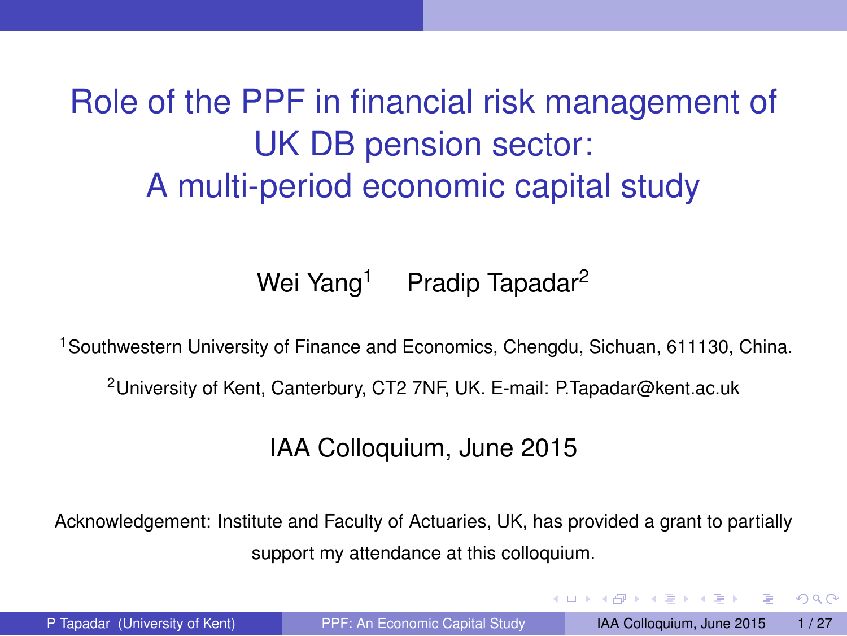# Role of the PPF in financial risk management of UK DB pension sector: A multi-period economic capital study

#### Wei Yang<sup>1</sup> Pradip Tapadar<sup>2</sup>

<sup>1</sup> Southwestern University of Finance and Economics, Chengdu, Sichuan, 611130, China.

<sup>2</sup>University of Kent, Canterbury, CT2 7NF, UK. E-mail: P.Tapadar@kent.ac.uk

#### IAA Colloquium, June 2015

Acknowledgement: Institute and Faculty of Actuaries, UK, has provided a grant to partially support my attendance at this colloquium.

 $QQQ$ 

 $(0.123 \times 10^{-14} \text{ m}) \times 10^{-14} \text{ m} \times 10^{-14} \text{ m}$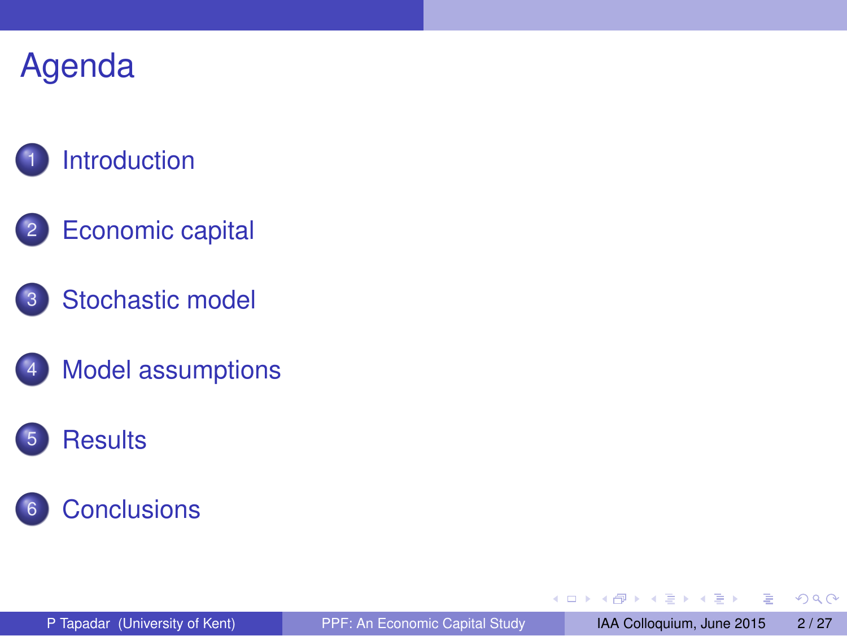# **[Introduction](#page-2-0)**

- 2 [Economic capital](#page-4-0)
- 3 [Stochastic model](#page-8-0)
- **[Model assumptions](#page-11-0)**





E

<span id="page-2-0"></span> $299$ 

 $A \oplus A \times A \oplus A \times A \oplus A$ 

4 0 8 1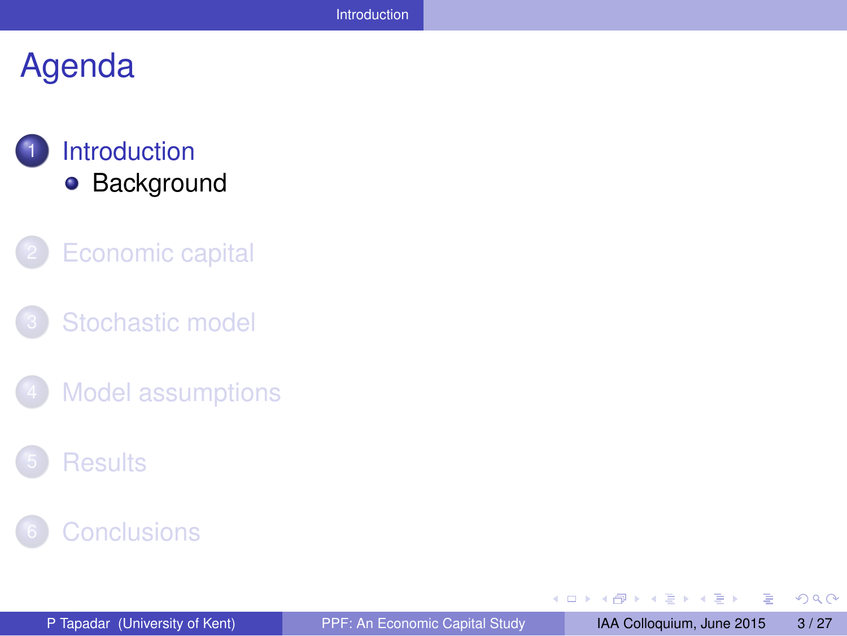### **[Introduction](#page-2-0) •** [Background](#page-3-0)

- **[Economic capital](#page-4-0)**
- [Stochastic model](#page-8-0)
- **[Model assumptions](#page-11-0)**
- **[Results](#page-15-0)**



Þ

<span id="page-3-0"></span> $299$ 

 $\sqrt{m}$   $\rightarrow$   $\sqrt{m}$   $\rightarrow$   $\sqrt{m}$   $\rightarrow$ 

4 0 8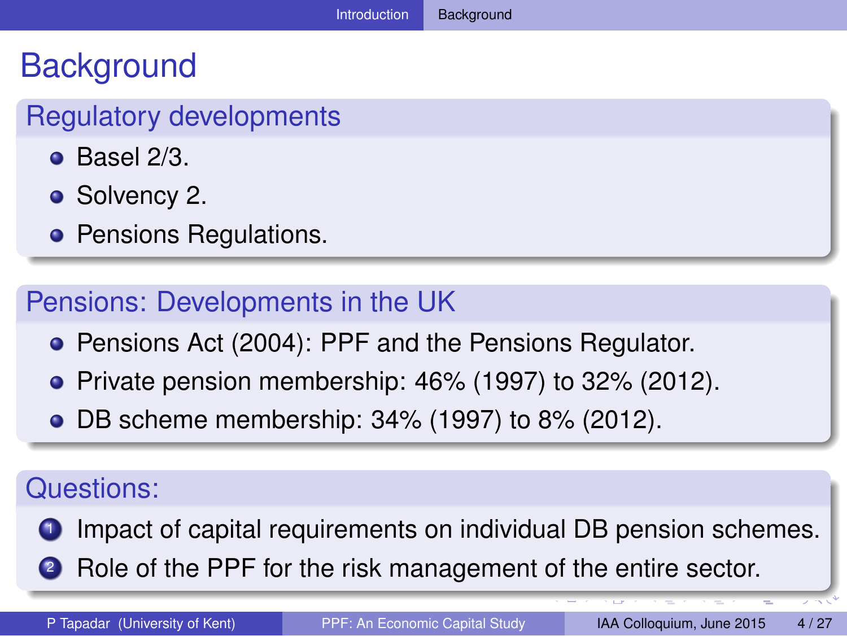# **Background**

### Regulatory developments

- $\bullet$  Basel 2/3.
- Solvency 2.
- **Pensions Regulations.**

#### Pensions: Developments in the UK

- **Pensions Act (2004): PPF and the Pensions Regulator.**
- $\bullet$  Private pension membership: 46% (1997) to 32% (2012).
- DB scheme membership: 34% (1997) to 8% (2012).

#### Questions:

- <span id="page-4-0"></span>Impact of capital requirements on individual DB pension schemes.
- **2** Role of the PPF for the risk management of the entire sector.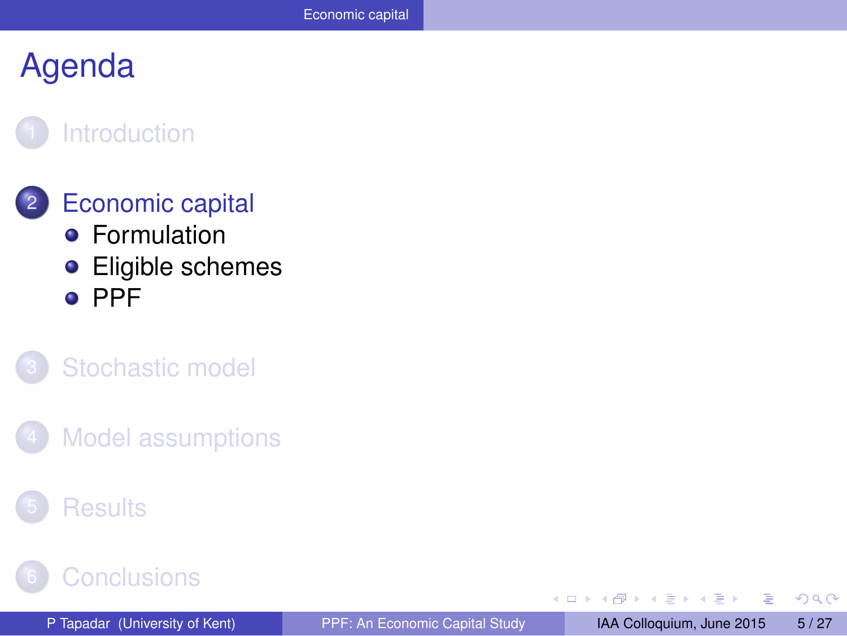#### **[Introduction](#page-2-0)**

#### **[Economic capital](#page-4-0) •** [Formulation](#page-5-0)

**•** [Eligible schemes](#page-6-0) o [PPF](#page-7-0)

#### [Stochastic model](#page-8-0)

**[Model assumptions](#page-11-0)** 

#### **[Results](#page-15-0)**

### **[Conclusions](#page-24-0)**

<span id="page-5-0"></span> $\Omega$ 

化重新分离

4 0 8 ×. Æ.  $\sim$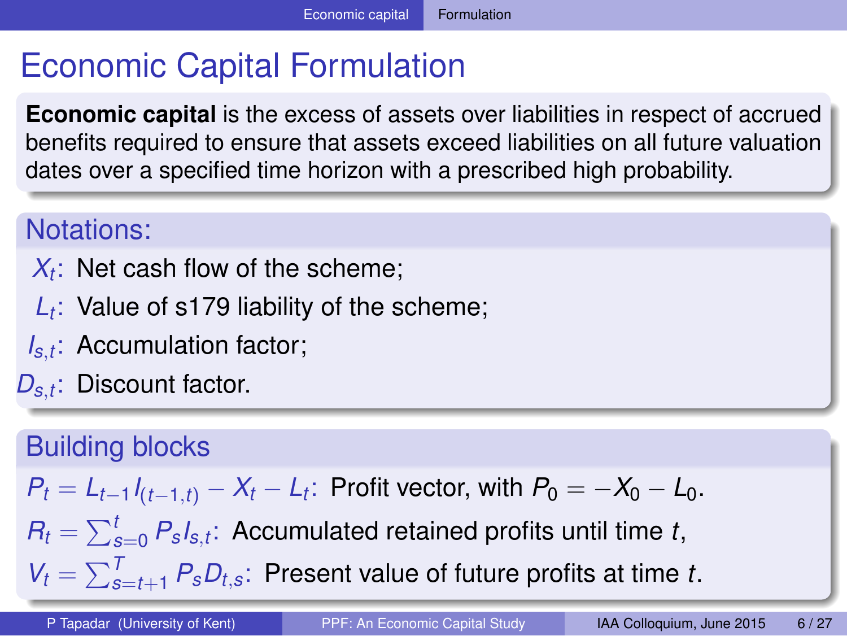# Economic Capital Formulation

**Economic capital** is the excess of assets over liabilities in respect of accrued benefits required to ensure that assets exceed liabilities on all future valuation dates over a specified time horizon with a prescribed high probability.

#### Notations:

- $X_t$ : Net cash flow of the scheme;
- *Lt* : Value of s179 liability of the scheme;
- *Is*,*t* : Accumulation factor;
- *Ds*,*<sup>t</sup>* : Discount factor.

#### Building blocks

$$
P_t = L_{t-1}I_{(t-1,t)} - X_t - L_t
$$
: Profit vector, with  $P_0 = -X_0 - L_0$ .

 $R_t = \sum_{s=0}^t P_s s_{t}$ ; Accumulated retained profits until time *t*,

<span id="page-6-0"></span> $V_t = \sum_{s=t+1}^{T} P_s D_{t,s}$  $V_t = \sum_{s=t+1}^{T} P_s D_{t,s}$  $V_t = \sum_{s=t+1}^{T} P_s D_{t,s}$  $V_t = \sum_{s=t+1}^{T} P_s D_{t,s}$  $V_t = \sum_{s=t+1}^{T} P_s D_{t,s}$  $V_t = \sum_{s=t+1}^{T} P_s D_{t,s}$  $V_t = \sum_{s=t+1}^{T} P_s D_{t,s}$ : Present value of future p[rofi](#page-4-0)[ts](#page-6-0) [at](#page-5-0) [ti](#page-6-0)m[e](#page-5-0) *t*[.](#page-3-0)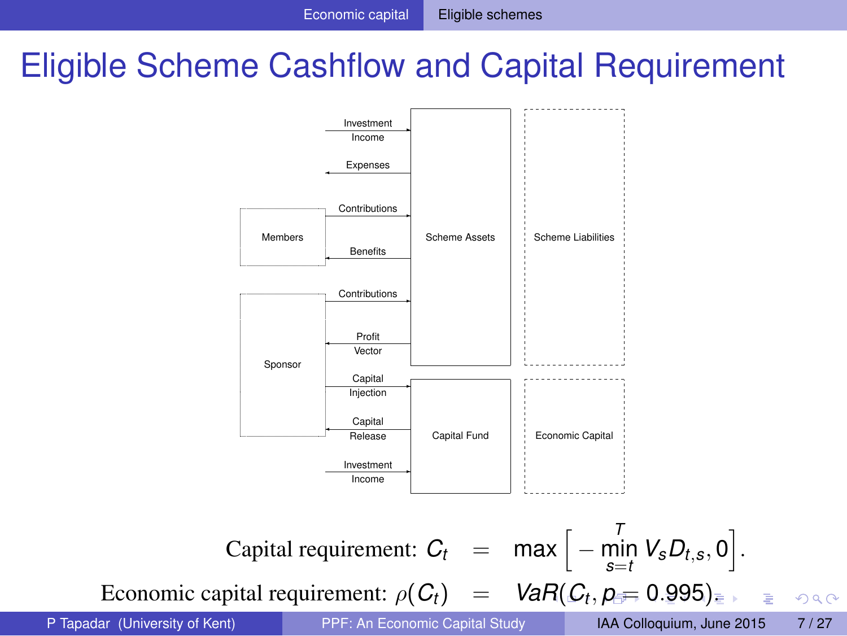# Eligible Scheme Cashflow and Capital Requirement



Economic ca[p](#page-5-0)ital requirement:  $\rho(C_t)$  $\rho(C_t)$  [=](#page-6-0)  $VaR(C_t, \rho = 0.995)$  $VaR(C_t, \rho = 0.995)$  $VaR(C_t, \rho = 0.995)$  $VaR(C_t, \rho = 0.995)$  $VaR(C_t, \rho = 0.995)$  $VaR(C_t, \rho = 0.995)$  $VaR(C_t, \rho = 0.995)$  $VaR(C_t, \rho = 0.995)$  $VaR(C_t, \rho = 0.995)$  $VaR(C_t, \rho = 0.995)$  $VaR(C_t, \rho = 0.995)$ [.](#page-7-0)

<span id="page-7-0"></span> $\Omega$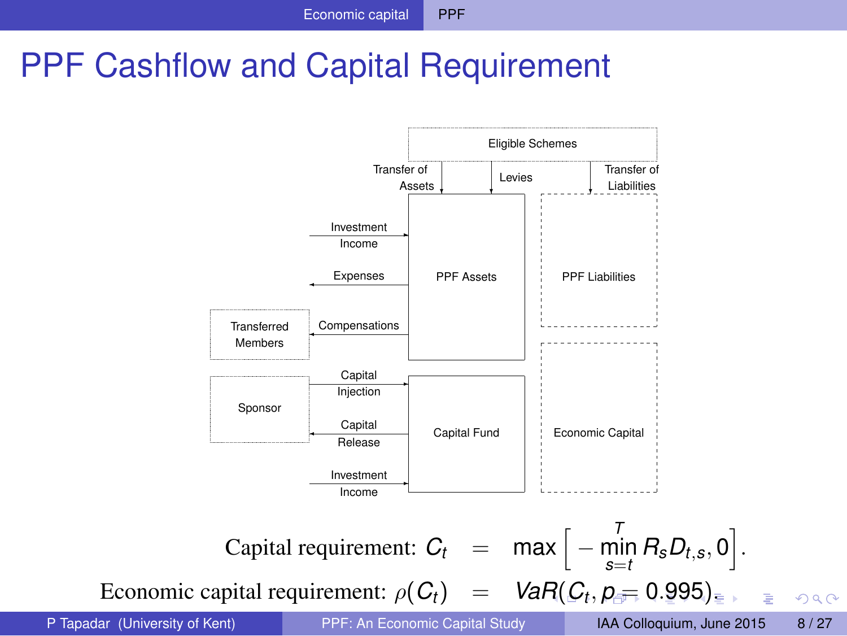# PPF Cashflow and Capital Requirement



<span id="page-8-0"></span> $QQ$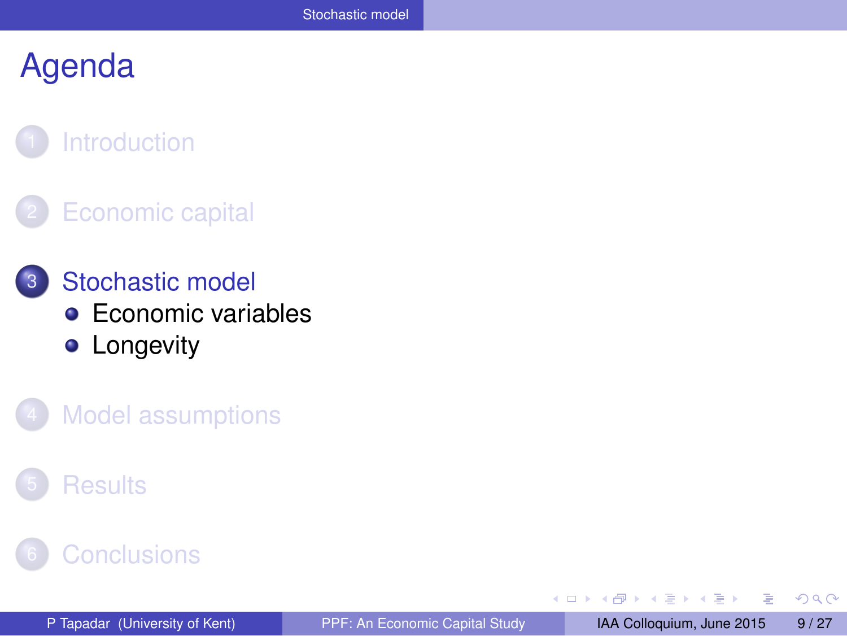#### **[Introduction](#page-2-0)**

#### **[Economic capital](#page-4-0)**

- 3 [Stochastic model](#page-8-0) **[Economic variables](#page-9-0) •** [Longevity](#page-10-0)
	- **[Model assumptions](#page-11-0)**

#### **[Results](#page-15-0)**

### **[Conclusions](#page-24-0)**

<span id="page-9-0"></span> $\Omega$ 

AD > 3 B > 3 B

4 0 8  $\epsilon$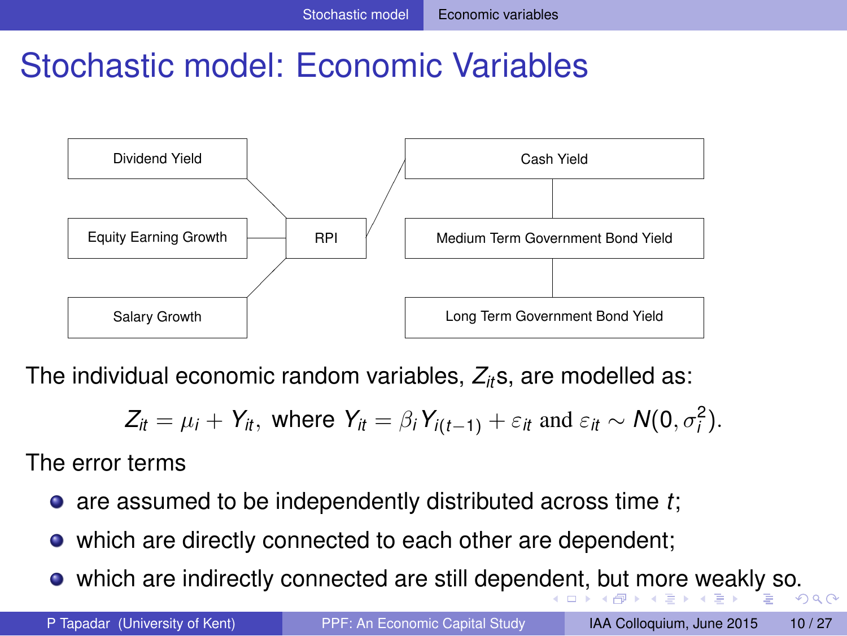# Stochastic model: Economic Variables



The individual economic random variables, *Zit*s, are modelled as:

<span id="page-10-0"></span>
$$
Z_{it} = \mu_i + Y_{it}, \text{ where } Y_{it} = \beta_i Y_{i(t-1)} + \varepsilon_{it} \text{ and } \varepsilon_{it} \sim N(0, \sigma_i^2).
$$

The error terms

- are assumed to be independently distributed across time *t*;
- which are directly connected to each other are dependent;
- which are indirectly connected are still [de](#page-8-0)penden[t,](#page-10-0) [b](#page-8-0)[ut](#page-9-0) [m](#page-10-0)[or](#page-9-0)[e](#page-8-0) [w](#page-7-0)e[ak](#page-11-0)[ly](#page-0-0) [so](#page-26-0).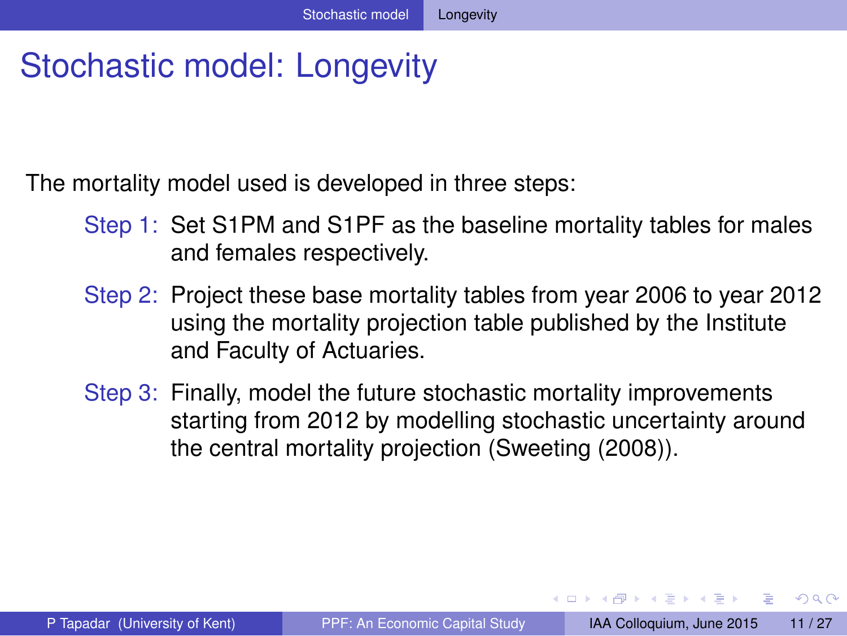# Stochastic model: Longevity

The mortality model used is developed in three steps:

- Step 1: Set S1PM and S1PF as the baseline mortality tables for males and females respectively.
- Step 2: Project these base mortality tables from year 2006 to year 2012 using the mortality projection table published by the Institute and Faculty of Actuaries.
- Step 3: Finally, model the future stochastic mortality improvements starting from 2012 by modelling stochastic uncertainty around the central mortality projection (Sweeting (2008)).

<span id="page-11-0"></span> $\Omega$ 

4 ロ ト 4 何 ト 4 ラ ト 4 ラ ト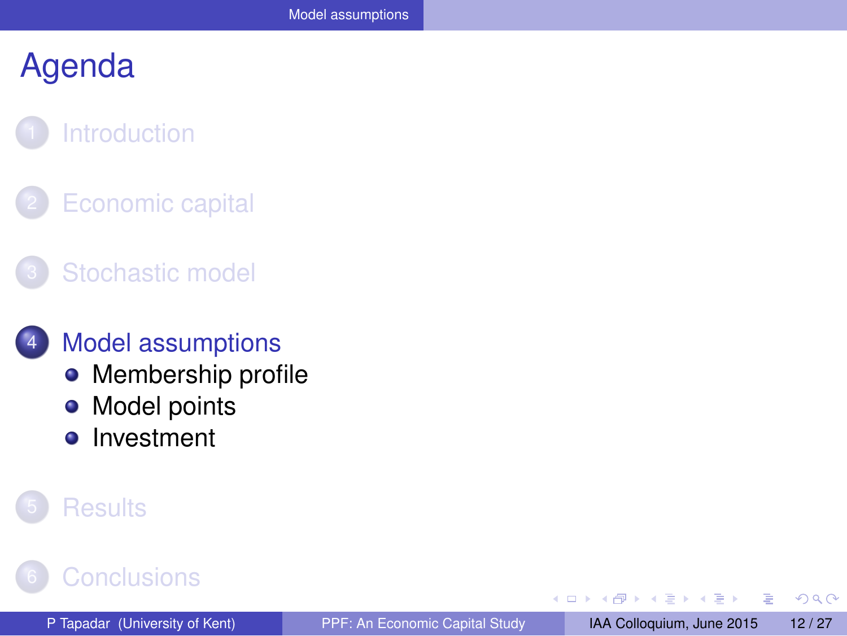# **[Introduction](#page-2-0)**

- **[Economic capital](#page-4-0)**
- [Stochastic model](#page-8-0)

#### **[Model assumptions](#page-11-0)**

- [Membership profile](#page-12-0)
- [Model points](#page-13-0)  $\bullet$
- [Investment](#page-14-0)  $\bullet$

#### **[Results](#page-15-0)**

### **[Conclusions](#page-24-0)**

<span id="page-12-0"></span> $QQQ$ 

 $\mathbf{h}$  $\mathcal{A}$ 

 $\leftarrow$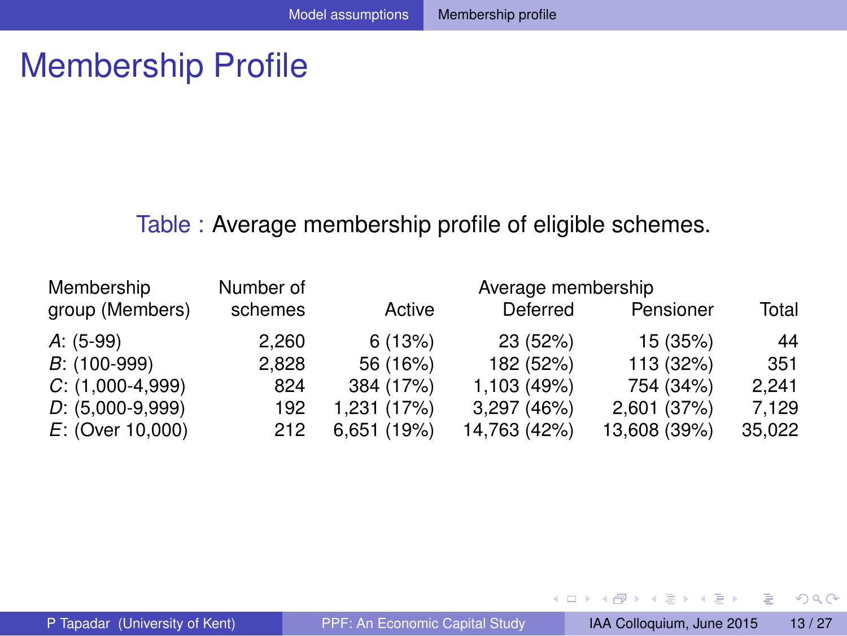# Membership Profile

#### Table : Average membership profile of eligible schemes.

| Membership         | Number of |             | Average membership |              |        |
|--------------------|-----------|-------------|--------------------|--------------|--------|
| group (Members)    | schemes   | Active      | Deferred           | Pensioner    | Total  |
| A: (5-99)          | 2.260     | 6(13%)      | 23 (52%)           | 15 (35%)     | 44     |
| $B: (100-999)$     | 2.828     | 56 (16%)    | 182 (52%)          | 113 (32%)    | 351    |
| $C: (1,000-4,999)$ | 824       | 384 (17%)   | 1,103 (49%)        | 754 (34%)    | 2.241  |
| $D: (5,000-9,999)$ | 192       | 1,231 (17%) | 3,297 (46%)        | 2,601 (37%)  | 7.129  |
| $E:$ (Over 10,000) | 212       | 6,651 (19%) | 14,763 (42%)       | 13,608 (39%) | 35,022 |

÷.

<span id="page-13-0"></span> $299$ 

(ロトス個) (注) (注)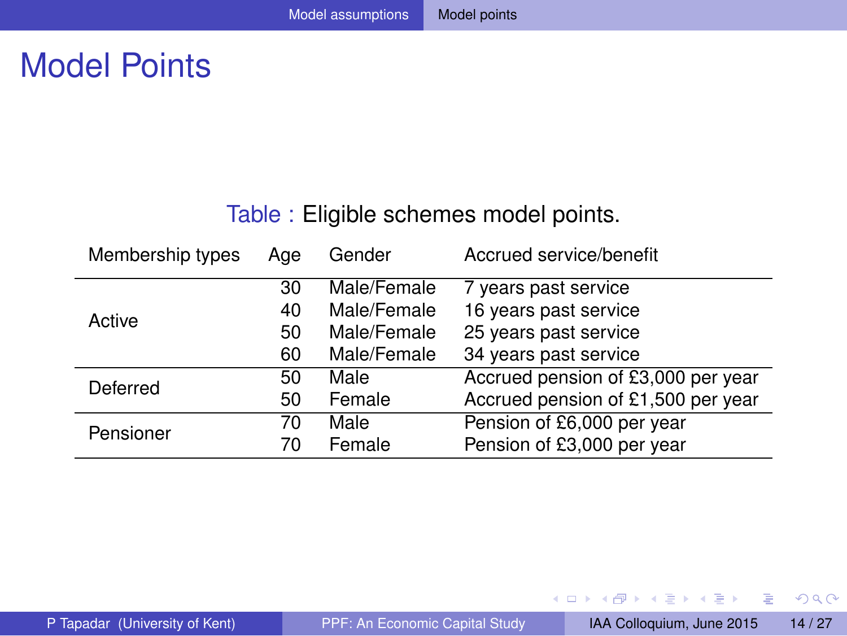# Model Points

#### Table : Eligible schemes model points.

| Membership types | Age | Gender      | Accrued service/benefit            |
|------------------|-----|-------------|------------------------------------|
|                  | 30  | Male/Female | 7 years past service               |
| Active           | 40  | Male/Female | 16 years past service              |
|                  | 50  | Male/Female | 25 years past service              |
|                  | 60  | Male/Female | 34 years past service              |
| Deferred         | 50  | Male        | Accrued pension of £3,000 per year |
|                  | 50  | Female      | Accrued pension of £1,500 per year |
| Pensioner        | 70  | Male        | Pension of £6,000 per year         |
|                  | 70  | Female      | Pension of £3,000 per year         |

重

<span id="page-14-0"></span> $299$ 

**K ロメ K 御 メ K 君 メ K 君 X**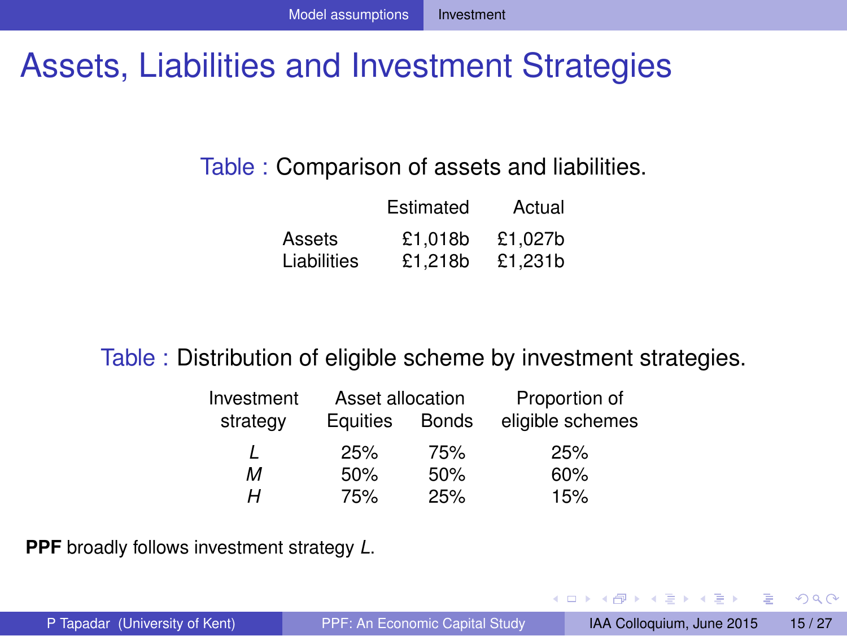# Assets, Liabilities and Investment Strategies

#### Table : Comparison of assets and liabilities.

|             | Estimated | Actual  |
|-------------|-----------|---------|
| Assets      | £1.018b   | £1.027b |
| Liabilities | £1.218b   | £1.231b |

#### Table : Distribution of eligible scheme by investment strategies.

| Investment | Asset allocation |              | Proportion of    |
|------------|------------------|--------------|------------------|
| strategy   | Equities         | <b>Bonds</b> | eligible schemes |
|            | 25%              | 75%          | 25%              |
| м          | 50%              | 50%          | 60%              |
| н          | 75%              | 25%          | 15%              |

**PPF** broadly follows investment strategy *L*.

 $(0,1)$   $(0,1)$   $(0,1)$   $(1,1)$   $(1,1)$   $(1,1)$   $(1,1)$   $(1,1)$   $(1,1)$   $(1,1)$   $(1,1)$   $(1,1)$   $(1,1)$   $(1,1)$   $(1,1)$   $(1,1)$   $(1,1)$   $(1,1)$   $(1,1)$   $(1,1)$   $(1,1)$   $(1,1)$   $(1,1)$   $(1,1)$   $(1,1)$   $(1,1)$   $(1,1)$   $(1,1$ 

<span id="page-15-0"></span> $QQ$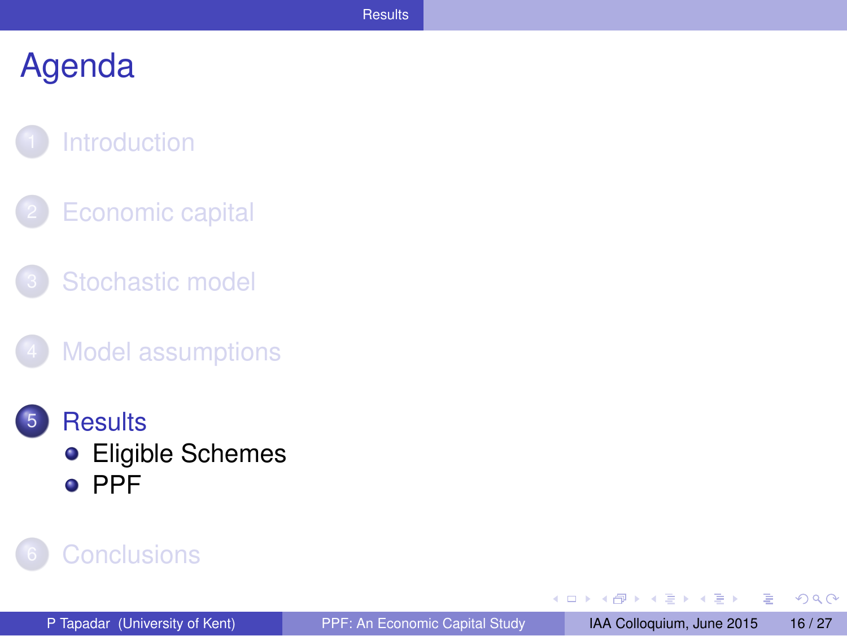#### **[Introduction](#page-2-0)**

- **[Economic capital](#page-4-0)**
- [Stochastic model](#page-8-0)
- **[Model assumptions](#page-11-0)**
- **[Results](#page-15-0) •** [Eligible Schemes](#page-16-0) o [PPF](#page-20-0)

#### **[Conclusions](#page-24-0)**

**B** Þ <span id="page-16-0"></span> $QQ$ 

**ADAM DAM D** 

4 0 8  $\mathcal{A}$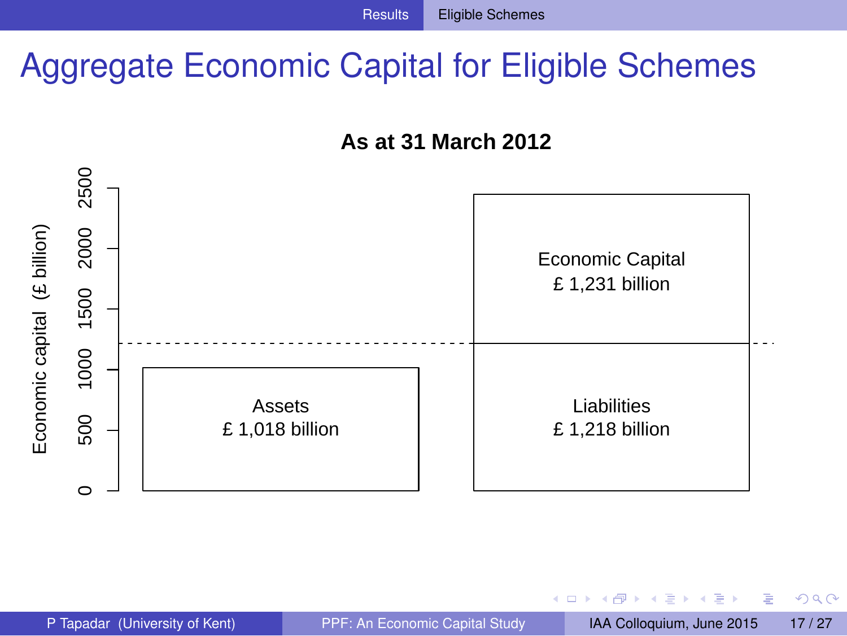# Aggregate Economic Capital for Eligible Schemes





Þ

<span id="page-17-0"></span> $QQQ$ 

4 0 8

 $\sim$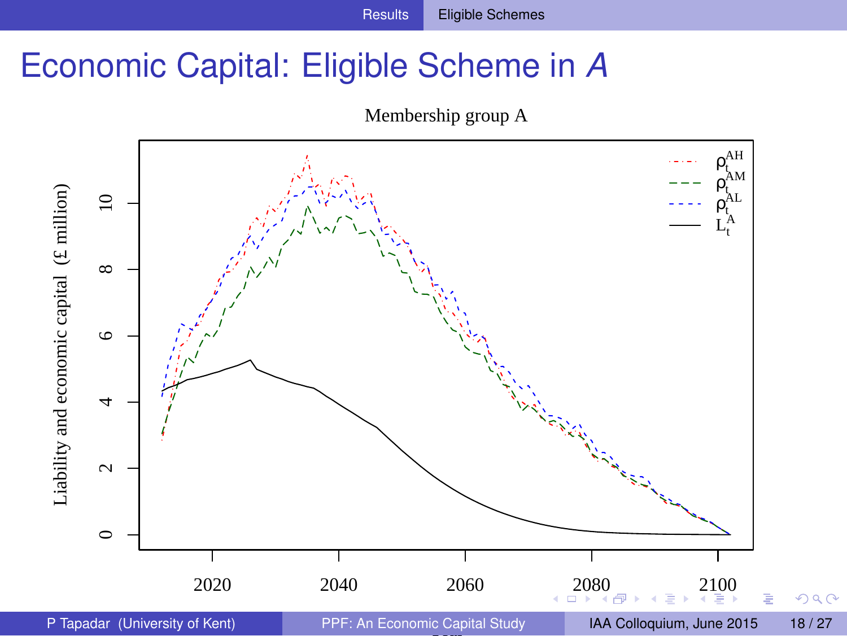# Economic Capital: Eligible Scheme in *A*

<span id="page-18-0"></span>

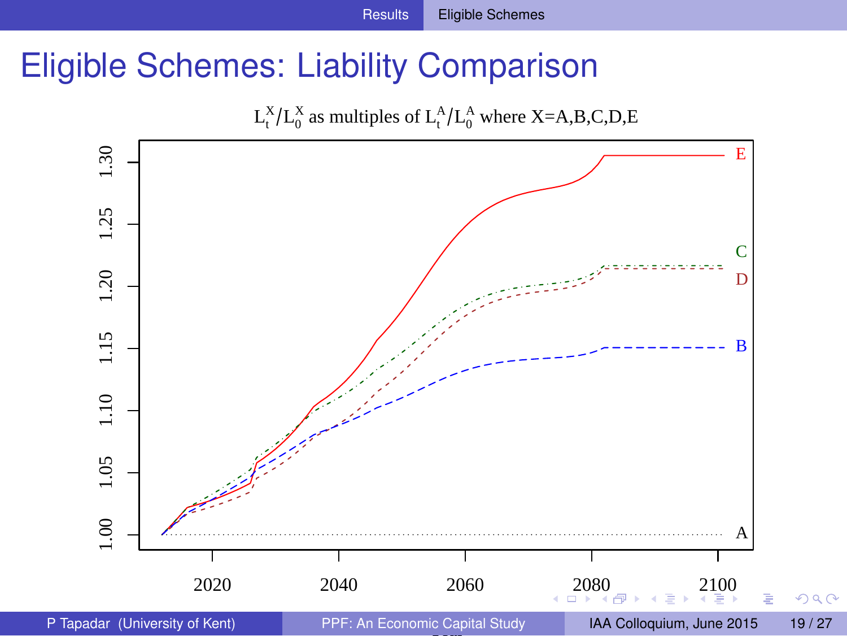# Eligible Schemes: Liability Comparison

<span id="page-19-0"></span>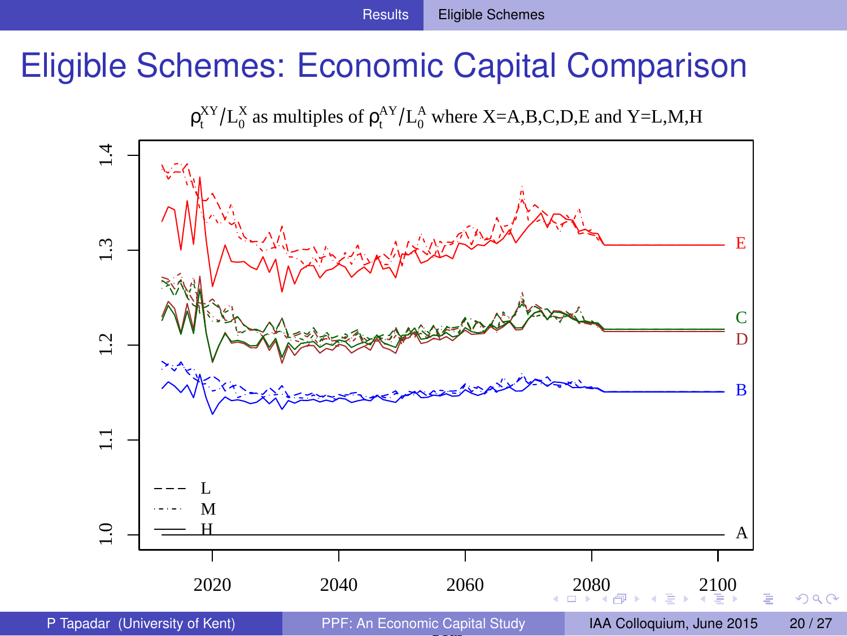# Eligible Schemes: Economic Capital Comparison

<span id="page-20-0"></span> $\rho_t^{XY}/L_0^X$  as multiples of  $\rho_t^{AY}/L_0^A$  where X=A,B,C,D,E and Y=L,M,H

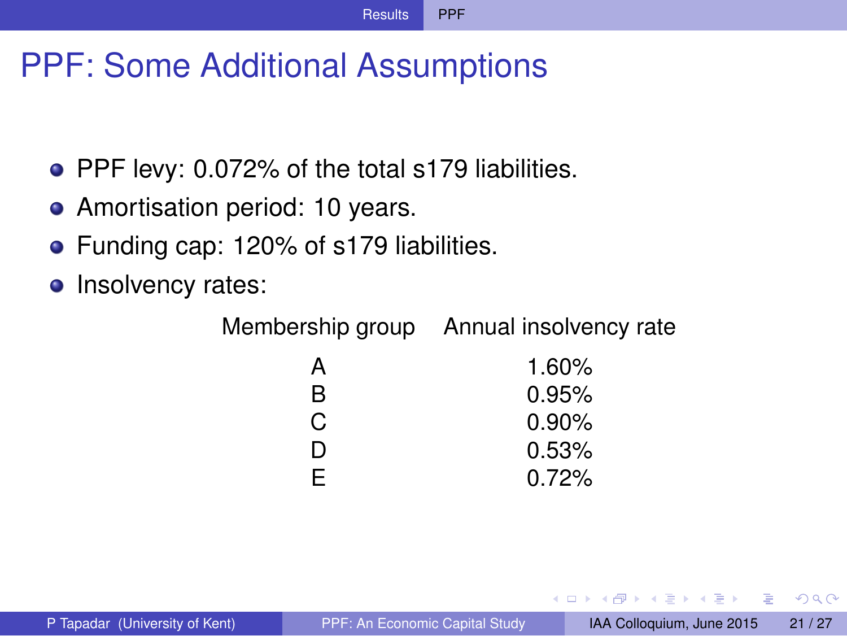# PPF: Some Additional Assumptions

- PPF levy: 0.072% of the total s179 liabilities.
- Amortisation period: 10 years.
- **•** Funding cap: 120% of s179 liabilities.
- Insolvency rates:

Membership group Annual insolvency rate

| А  | 1.60%    |
|----|----------|
| R  | 0.95%    |
| C. | $0.90\%$ |
| D  | 0.53%    |
| F. | 0.72%    |

<span id="page-21-0"></span> $\Omega$ 

イロト イ押ト イヨト イヨト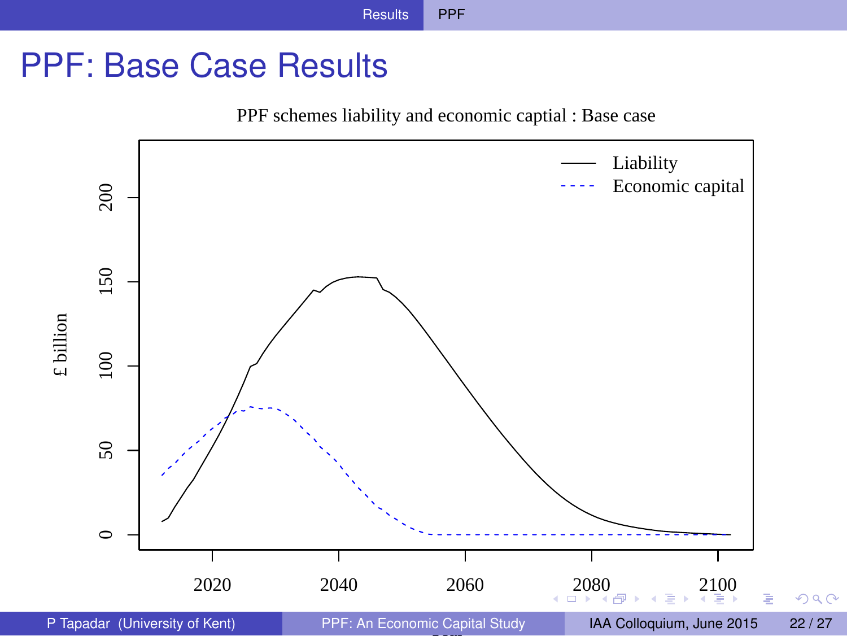# PPF: Base Case Results

<span id="page-22-0"></span>PPF schemes liability and economic captial : Base case

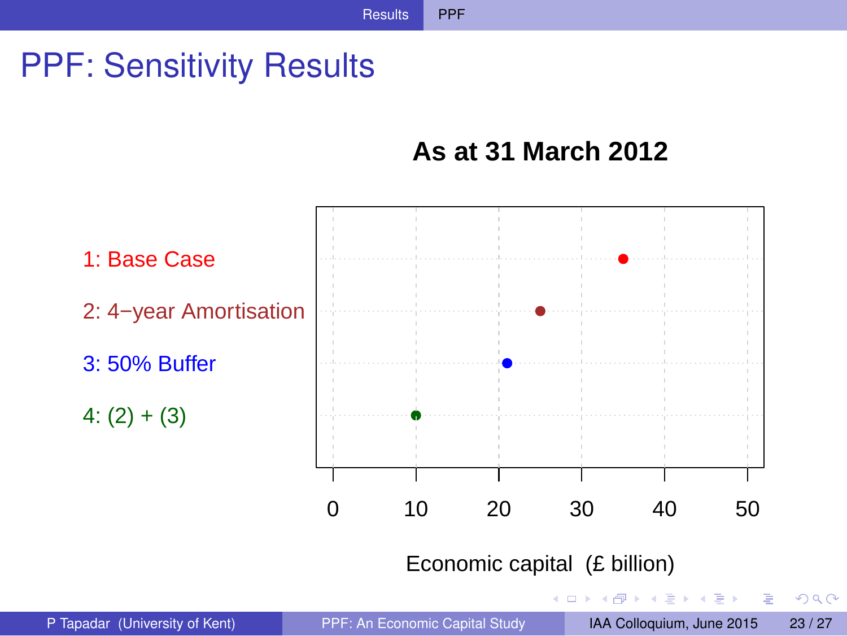# PPF: Sensitivity Results

#### <span id="page-23-0"></span>**As at 31 March 2012**

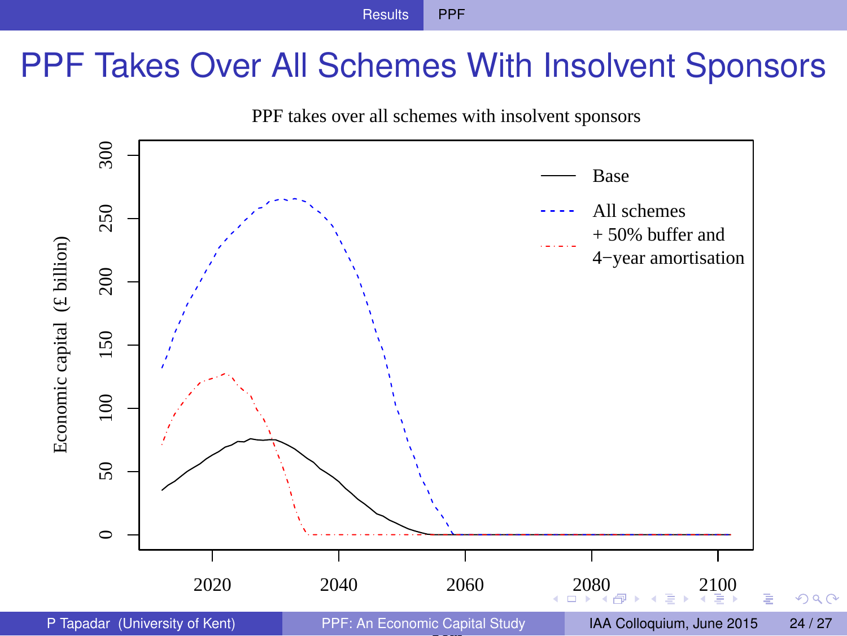# PPF Takes Over All Schemes With Insolvent Sponsors

<span id="page-24-0"></span>

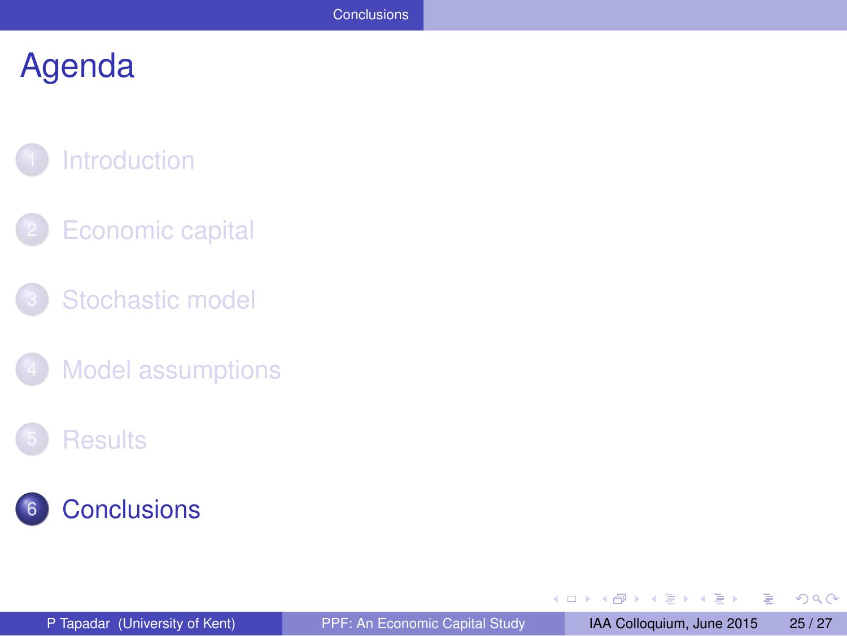# **[Introduction](#page-2-0)**

- **[Economic capital](#page-4-0)**
- [Stochastic model](#page-8-0)
- [Model assumptions](#page-11-0)

#### **[Results](#page-15-0)**



÷.

<span id="page-25-0"></span> $299$ 

(ロトス個) (注) (注)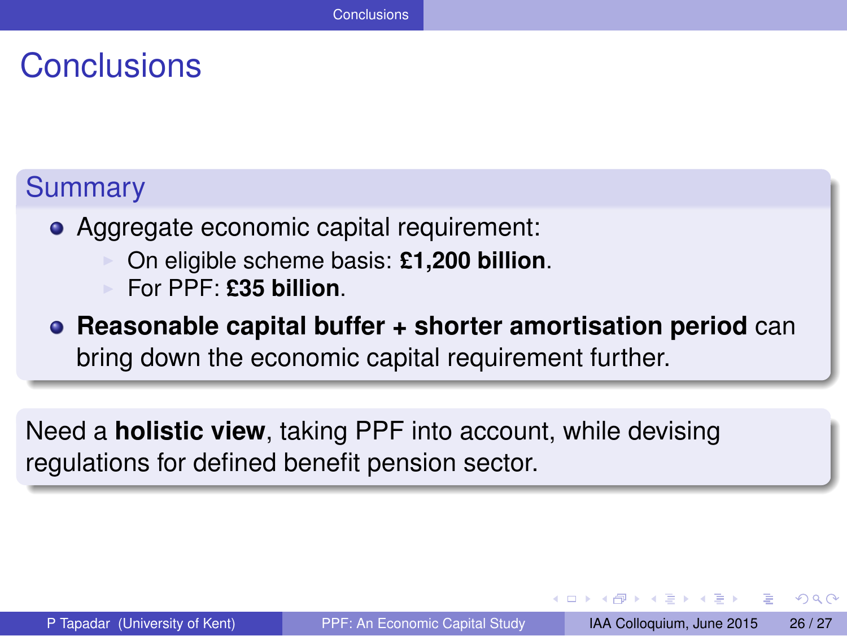# **Conclusions**

#### Summary

- Aggregate economic capital requirement:
	- ◮ On eligible scheme basis: **£1,200 billion**.
	- ◮ For PPF: **£35 billion**.
- **Reasonable capital buffer + shorter amortisation period** can bring down the economic capital requirement further.

Need a **holistic view**, taking PPF into account, while devising regulations for defined benefit pension sector.

<span id="page-26-0"></span> $\Omega$ 

イロト イ押ト イヨト イヨト